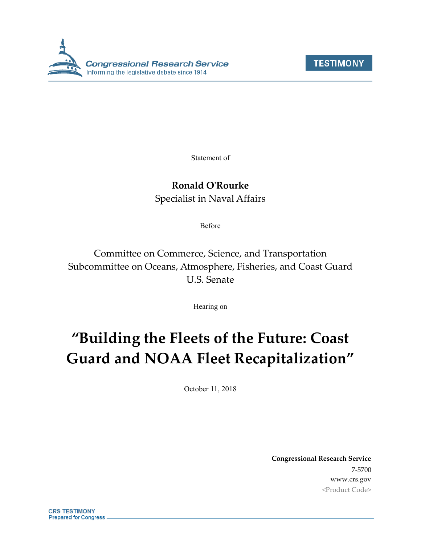



Statement of

### **Ronald O'Rourke**

Specialist in Naval Affairs

Before

Committee on Commerce, Science, and Transportation Subcommittee on Oceans, Atmosphere, Fisheries, and Coast Guard U.S. Senate

Hearing on

# **"Building the Fleets of the Future: Coast Guard and NOAA Fleet Recapitalization"**

October 11, 2018

**Congressional Research Service** 7-5700 www.crs.gov <Product Code>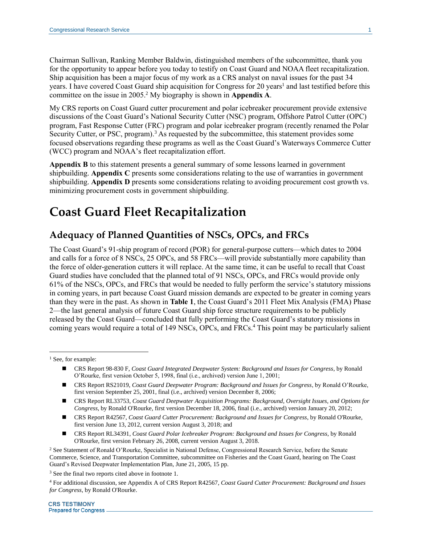Chairman Sullivan, Ranking Member Baldwin, distinguished members of the subcommittee, thank you for the opportunity to appear before you today to testify on Coast Guard and NOAA fleet recapitalization. Ship acquisition has been a major focus of my work as a CRS analyst on naval issues for the past 34 years. I have covered Coast Guard ship acquisition for Congress for 20 years<sup>1</sup> and last testified before this committee on the issue in 2005.<sup>2</sup> My biography is shown in **[Appendix A](#page-13-0)**.

<span id="page-1-0"></span>My CRS reports on Coast Guard cutter procurement and polar icebreaker procurement provide extensive discussions of the Coast Guard's National Security Cutter (NSC) program, Offshore Patrol Cutter (OPC) program, Fast Response Cutter (FRC) program and polar icebreaker program (recently renamed the Polar Security Cutter, or PSC, program).<sup>3</sup> As requested by the subcommittee, this statement provides some focused observations regarding these programs as well as the Coast Guard's Waterways Commerce Cutter (WCC) program and NOAA's fleet recapitalization effort.

**[Appendix B](#page-14-0)** to this statement presents a general summary of some lessons learned in government shipbuilding. **[Appendix C](#page-15-0)** presents some considerations relating to the use of warranties in government shipbuilding. **[Appendix D](#page-17-0)** presents some considerations relating to avoiding procurement cost growth vs. minimizing procurement costs in government shipbuilding.

### **Coast Guard Fleet Recapitalization**

#### **Adequacy of Planned Quantities of NSCs, OPCs, and FRCs**

The Coast Guard's 91-ship program of record (POR) for general-purpose cutters—which dates to 2004 and calls for a force of 8 NSCs, 25 OPCs, and 58 FRCs—will provide substantially more capability than the force of older-generation cutters it will replace. At the same time, it can be useful to recall that Coast Guard studies have concluded that the planned total of 91 NSCs, OPCs, and FRCs would provide only 61% of the NSCs, OPCs, and FRCs that would be needed to fully perform the service's statutory missions in coming years, in part because Coast Guard mission demands are expected to be greater in coming years than they were in the past. As shown in **[Table 1](#page-2-0)**, the Coast Guard's 2011 Fleet Mix Analysis (FMA) Phase 2—the last general analysis of future Coast Guard ship force structure requirements to be publicly released by the Coast Guard—concluded that fully performing the Coast Guard's statutory missions in coming years would require a total of 149 NSCs, OPCs, and FRCs.<sup>4</sup> This point may be particularly salient

<sup>1</sup> See, for example:

 $\overline{a}$ 

- CRS Report 98-830 F, *Coast Guard Integrated Deepwater System: Background and Issues for Congress*, by Ronald O'Rourke, first version October 5, 1998, final (i.e., archived) version June 1, 2001;
- CRS Report RS21019, *Coast Guard Deepwater Program: Background and Issues for Congress*, by Ronald O'Rourke, first version September 25, 2001, final (i.e., archived) version December 8, 2006;
- CRS Report RL33753, *Coast Guard Deepwater Acquisition Programs: Background, Oversight Issues, and Options for Congress*, by Ronald O'Rourke, first version December 18, 2006, final (i.e., archived) version January 20, 2012;
- CRS Report R42567, *Coast Guard Cutter Procurement: Background and Issues for Congress*, by Ronald O'Rourke, first version June 13, 2012, current version August 3, 2018; and
- CRS Report RL34391, *Coast Guard Polar Icebreaker Program: Background and Issues for Congress*, by Ronald O'Rourke, first version February 26, 2008, current version August 3, 2018.

<sup>2</sup> See Statement of Ronald O'Rourke, Specialist in National Defense, Congressional Research Service, before the Senate Commerce, Science, and Transportation Committee, subcommittee on Fisheries and the Coast Guard, hearing on The Coast Guard's Revised Deepwater Implementation Plan, June 21, 2005, 15 pp.

<sup>3</sup> See the final two reports cited above in footnot[e 1.](#page-1-0)

<sup>4</sup> For additional discussion, see Appendix A of CRS Report R42567, *Coast Guard Cutter Procurement: Background and Issues for Congress*, by Ronald O'Rourke.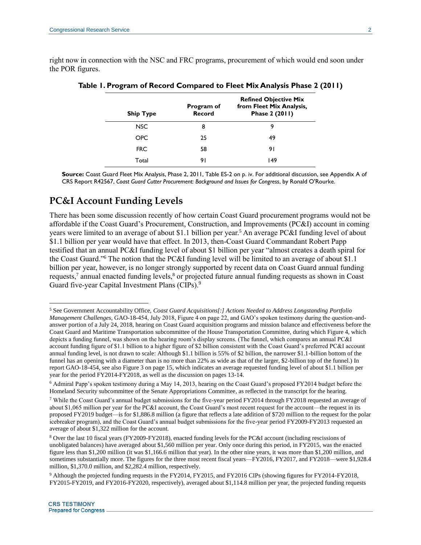<span id="page-2-0"></span>right now in connection with the NSC and FRC programs, procurement of which would end soon under the POR figures.

| <b>Ship Type</b> | Program of<br>Record | <b>Refined Objective Mix</b><br>from Fleet Mix Analysis,<br>Phase 2 (2011) |
|------------------|----------------------|----------------------------------------------------------------------------|
| <b>NSC</b>       | 8                    | 9                                                                          |
| <b>OPC</b>       | 25                   | 49                                                                         |
| <b>FRC</b>       | 58                   | 91                                                                         |
| Total            | 91                   | 149                                                                        |

| Table 1. Program of Record Compared to Fleet Mix Analysis Phase 2 (2011) |  |  |  |  |  |  |  |  |
|--------------------------------------------------------------------------|--|--|--|--|--|--|--|--|
|--------------------------------------------------------------------------|--|--|--|--|--|--|--|--|

**Source:** Coast Guard Fleet Mix Analysis, Phase 2, 2011, Table ES-2 on p. iv. For additional discussion, see Appendix A of CRS Report R42567, *Coast Guard Cutter Procurement: Background and Issues for Congress*, by Ronald O'Rourke.

#### **PC&I Account Funding Levels**

There has been some discussion recently of how certain Coast Guard procurement programs would not be affordable if the Coast Guard's Procurement, Construction, and Improvements (PC&I) account in coming years were limited to an average of about \$1.1 billion per year.<sup>5</sup> An average PC&I funding level of about \$1.1 billion per year would have that effect. In 2013, then-Coast Guard Commandant Robert Papp testified that an annual PC&I funding level of about \$1 billion per year "almost creates a death spiral for the Coast Guard."<sup>6</sup> The notion that the PC&I funding level will be limited to an average of about \$1.1 billion per year, however, is no longer strongly supported by recent data on Coast Guard annual funding requests,<sup>7</sup> annual enacted funding levels,<sup>8</sup> or projected future annual funding requests as shown in Coast Guard five-year Capital Investment Plans (CIPs).<sup>9</sup>

<sup>5</sup> See Government Accountability Office, *Coast Guard Acquisitions[:] Actions Needed to Address Longstanding Portfolio Management Challenges*, GAO-18-454, July 2018, Figure 4 on page 22, and GAO's spoken testimony during the question-andanswer portion of a July 24, 2018, hearing on Coast Guard acquisition programs and mission balance and effectiveness before the Coast Guard and Maritime Transportation subcommittee of the House Transportation Committee, during which Figure 4, which depicts a funding funnel, was shown on the hearing room's display screens. (The funnel, which compares an annual PC&I account funding figure of \$1.1 billion to a higher figure of \$2 billion consistent with the Coast Guard's preferred PC&I account annual funding level, is not drawn to scale: Although \$1.1 billion is 55% of \$2 billion, the narrower \$1.1-billion bottom of the funnel has an opening with a diameter than is no more than 22% as wide as that of the larger, \$2-billion top of the funnel.) In report GAO-18-454, see also Figure 3 on page 15, which indicates an average requested funding level of about \$1.1 billion per year for the period FY2014-FY2018, as well as the discussion on pages 13-14.

<sup>6</sup> Admiral Papp's spoken testimony during a May 14, 2013, hearing on the Coast Guard's proposed FY2014 budget before the Homeland Security subcommittee of the Senate Appropriations Committee, as reflected in the transcript for the hearing.

<sup>&</sup>lt;sup>7</sup> While the Coast Guard's annual budget submissions for the five-year period FY2014 through FY2018 requested an average of about \$1,065 million per year for the PC&I account, the Coast Guard's most recent request for the account—the request in its proposed FY2019 budget—is for \$1,886.8 million (a figure that reflects a late addition of \$720 million to the request for the polar icebreaker program), and the Coast Guard's annual budget submissions for the five-year period FY2009-FY2013 requested an average of about \$1,322 million for the account.

<sup>8</sup> Over the last 10 fiscal years (FY2009-FY2018), enacted funding levels for the PC&I account (including rescissions of unobligated balances) have averaged about \$1,560 million per year. Only once during this period, in FY2015, was the enacted figure less than \$1,200 million (it was \$1,166.6 million that year). In the other nine years, it was more than \$1,200 million, and sometimes substantially more. The figures for the three most recent fiscal years—FY2016, FY2017, and FY2018—were \$1,928.4 million, \$1,370.0 million, and \$2,282.4 million, respectively.

<sup>9</sup> Although the projected funding requests in the FY2014, FY2015, and FY2016 CIPs (showing figures for FY2014-FY2018, FY2015-FY2019, and FY2016-FY2020, respectively), averaged about \$1,114.8 million per year, the projected funding requests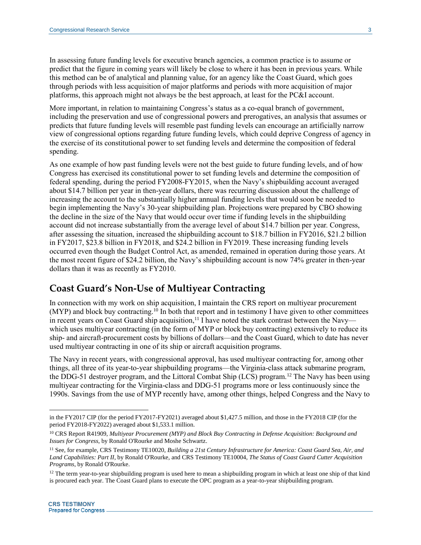In assessing future funding levels for executive branch agencies, a common practice is to assume or predict that the figure in coming years will likely be close to where it has been in previous years. While this method can be of analytical and planning value, for an agency like the Coast Guard, which goes through periods with less acquisition of major platforms and periods with more acquisition of major platforms, this approach might not always be the best approach, at least for the PC&I account.

More important, in relation to maintaining Congress's status as a co-equal branch of government, including the preservation and use of congressional powers and prerogatives, an analysis that assumes or predicts that future funding levels will resemble past funding levels can encourage an artificially narrow view of congressional options regarding future funding levels, which could deprive Congress of agency in the exercise of its constitutional power to set funding levels and determine the composition of federal spending.

As one example of how past funding levels were not the best guide to future funding levels, and of how Congress has exercised its constitutional power to set funding levels and determine the composition of federal spending, during the period FY2008-FY2015, when the Navy's shipbuilding account averaged about \$14.7 billion per year in then-year dollars, there was recurring discussion about the challenge of increasing the account to the substantially higher annual funding levels that would soon be needed to begin implementing the Navy's 30-year shipbuilding plan. Projections were prepared by CBO showing the decline in the size of the Navy that would occur over time if funding levels in the shipbuilding account did not increase substantially from the average level of about \$14.7 billion per year. Congress, after assessing the situation, increased the shipbuilding account to \$18.7 billion in FY2016, \$21.2 billion in FY2017, \$23.8 billion in FY2018, and \$24.2 billion in FY2019. These increasing funding levels occurred even though the Budget Control Act, as amended, remained in operation during those years. At the most recent figure of \$24.2 billion, the Navy's shipbuilding account is now 74% greater in then-year dollars than it was as recently as FY2010.

#### **Coast Guard's Non-Use of Multiyear Contracting**

In connection with my work on ship acquisition, I maintain the CRS report on multiyear procurement (MYP) and block buy contracting.<sup>10</sup> In both that report and in testimony I have given to other committees in recent years on Coast Guard ship acquisition,<sup>11</sup> I have noted the stark contrast between the Navy which uses multiyear contracting (in the form of MYP or block buy contracting) extensively to reduce its ship- and aircraft-procurement costs by billions of dollars—and the Coast Guard, which to date has never used multiyear contracting in one of its ship or aircraft acquisition programs.

The Navy in recent years, with congressional approval, has used multiyear contracting for, among other things, all three of its year-to-year shipbuilding programs—the Virginia-class attack submarine program, the DDG-51 destroyer program, and the Littoral Combat Ship (LCS) program.<sup>12</sup> The Navy has been using multiyear contracting for the Virginia-class and DDG-51 programs more or less continuously since the 1990s. Savings from the use of MYP recently have, among other things, helped Congress and the Navy to

in the FY2017 CIP (for the period FY2017-FY2021) averaged about \$1,427.5 million, and those in the FY2018 CIP (for the period FY2018-FY2022) averaged about \$1,533.1 million.

<sup>10</sup> CRS Report R41909, *Multiyear Procurement (MYP) and Block Buy Contracting in Defense Acquisition: Background and Issues for Congress*, by Ronald O'Rourke and Moshe Schwartz.

<sup>11</sup> See, for example, CRS Testimony TE10020, *Building a 21st Century Infrastructure for America: Coast Guard Sea, Air, and Land Capabilities: Part II*, by Ronald O'Rourke, and CRS Testimony TE10004, *The Status of Coast Guard Cutter Acquisition Programs*, by Ronald O'Rourke.

<sup>&</sup>lt;sup>12</sup> The term year-to-year shipbuilding program is used here to mean a shipbuilding program in which at least one ship of that kind is procured each year. The Coast Guard plans to execute the OPC program as a year-to-year shipbuilding program.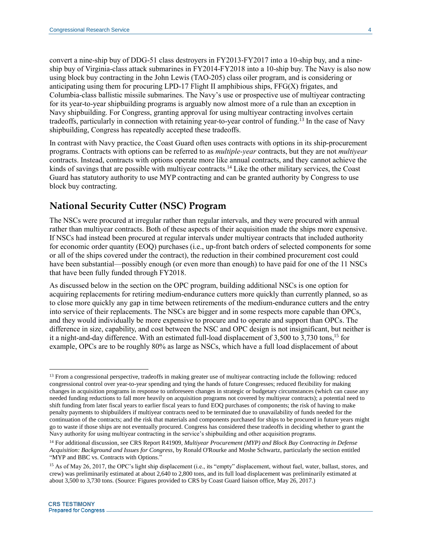convert a nine-ship buy of DDG-51 class destroyers in FY2013-FY2017 into a 10-ship buy, and a nineship buy of Virginia-class attack submarines in FY2014-FY2018 into a 10-ship buy. The Navy is also now using block buy contracting in the John Lewis (TAO-205) class oiler program, and is considering or anticipating using them for procuring LPD-17 Flight II amphibious ships, FFG(X) frigates, and Columbia-class ballistic missile submarines. The Navy's use or prospective use of multiyear contracting for its year-to-year shipbuilding programs is arguably now almost more of a rule than an exception in Navy shipbuilding. For Congress, granting approval for using multiyear contracting involves certain tradeoffs, particularly in connection with retaining year-to-year control of funding.<sup>13</sup> In the case of Navy shipbuilding, Congress has repeatedly accepted these tradeoffs.

In contrast with Navy practice, the Coast Guard often uses contracts with options in its ship-procurement programs. Contracts with options can be referred to as *multiple-year* contracts, but they are not *multiyear* contracts. Instead, contracts with options operate more like annual contracts, and they cannot achieve the kinds of savings that are possible with multiyear contracts.<sup>14</sup> Like the other military services, the Coast Guard has statutory authority to use MYP contracting and can be granted authority by Congress to use block buy contracting.

#### **National Security Cutter (NSC) Program**

The NSCs were procured at irregular rather than regular intervals, and they were procured with annual rather than multiyear contracts. Both of these aspects of their acquisition made the ships more expensive. If NSCs had instead been procured at regular intervals under multiyear contracts that included authority for economic order quantity (EOQ) purchases (i.e., up-front batch orders of selected components for some or all of the ships covered under the contract), the reduction in their combined procurement cost could have been substantial—possibly enough (or even more than enough) to have paid for one of the 11 NSCs that have been fully funded through FY2018.

As discussed below in the section on the OPC program, building additional NSCs is one option for acquiring replacements for retiring medium-endurance cutters more quickly than currently planned, so as to close more quickly any gap in time between retirements of the medium-endurance cutters and the entry into service of their replacements. The NSCs are bigger and in some respects more capable than OPCs, and they would individually be more expensive to procure and to operate and support than OPCs. The difference in size, capability, and cost between the NSC and OPC design is not insignificant, but neither is it a night-and-day difference. With an estimated full-load displacement of 3,500 to 3,730 tons, <sup>15</sup> for example, OPCs are to be roughly 80% as large as NSCs, which have a full load displacement of about

 $\overline{a}$ <sup>13</sup> From a congressional perspective, tradeoffs in making greater use of multiyear contracting include the following: reduced congressional control over year-to-year spending and tying the hands of future Congresses; reduced flexibility for making changes in acquisition programs in response to unforeseen changes in strategic or budgetary circumstances (which can cause any needed funding reductions to fall more heavily on acquisition programs not covered by multiyear contracts); a potential need to shift funding from later fiscal years to earlier fiscal years to fund EOQ purchases of components; the risk of having to make penalty payments to shipbuilders if multiyear contracts need to be terminated due to unavailability of funds needed for the continuation of the contracts; and the risk that materials and components purchased for ships to be procured in future years might go to waste if those ships are not eventually procured. Congress has considered these tradeoffs in deciding whether to grant the Navy authority for using multiyear contracting in the service's shipbuilding and other acquisition programs.

<sup>14</sup> For additional discussion, see CRS Report R41909, *Multiyear Procurement (MYP) and Block Buy Contracting in Defense Acquisition: Background and Issues for Congress*, by Ronald O'Rourke and Moshe Schwartz, particularly the section entitled "MYP and BBC vs. Contracts with Options."

<sup>&</sup>lt;sup>15</sup> As of May 26, 2017, the OPC's light ship displacement (i.e., its "empty" displacement, without fuel, water, ballast, stores, and crew) was preliminarily estimated at about 2,640 to 2,800 tons, and its full load displacement was preliminarily estimated at about 3,500 to 3,730 tons. (Source: Figures provided to CRS by Coast Guard liaison office, May 26, 2017.)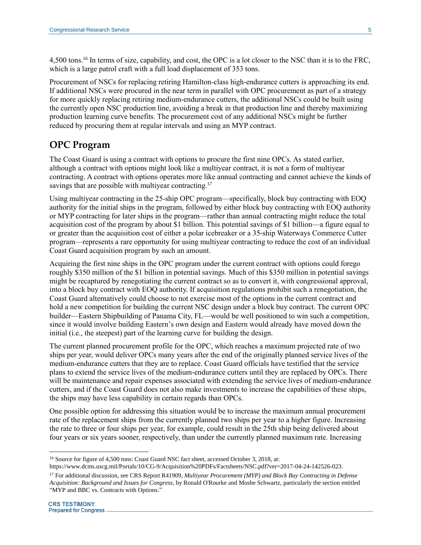4,500 tons.<sup>16</sup> In terms of size, capability, and cost, the OPC is a lot closer to the NSC than it is to the FRC, which is a large patrol craft with a full load displacement of 353 tons.

Procurement of NSCs for replacing retiring Hamilton-class high-endurance cutters is approaching its end. If additional NSCs were procured in the near term in parallel with OPC procurement as part of a strategy for more quickly replacing retiring medium-endurance cutters, the additional NSCs could be built using the currently open NSC production line, avoiding a break in that production line and thereby maximizing production learning curve benefits. The procurement cost of any additional NSCs might be further reduced by procuring them at regular intervals and using an MYP contract.

#### **OPC Program**

The Coast Guard is using a contract with options to procure the first nine OPCs. As stated earlier, although a contract with options might look like a multiyear contract, it is not a form of multiyear contracting. A contract with options operates more like annual contracting and cannot achieve the kinds of savings that are possible with multiyear contracting.<sup>17</sup>

Using multiyear contracting in the 25-ship OPC program—specifically, block buy contracting with EOQ authority for the initial ships in the program, followed by either block buy contracting with EOQ authority or MYP contracting for later ships in the program—rather than annual contracting might reduce the total acquisition cost of the program by about \$1 billion. This potential savings of \$1 billion—a figure equal to or greater than the acquisition cost of either a polar icebreaker or a 35-ship Waterways Commerce Cutter program—represents a rare opportunity for using multiyear contracting to reduce the cost of an individual Coast Guard acquisition program by such an amount.

Acquiring the first nine ships in the OPC program under the current contract with options could forego roughly \$350 million of the \$1 billion in potential savings. Much of this \$350 million in potential savings might be recaptured by renegotiating the current contract so as to convert it, with congressional approval, into a block buy contract with EOQ authority. If acquisition regulations prohibit such a renegotiation, the Coast Guard alternatively could choose to not exercise most of the options in the current contract and hold a new competition for building the current NSC design under a block buy contract. The current OPC builder—Eastern Shipbuilding of Panama City, FL—would be well positioned to win such a competition, since it would involve building Eastern's own design and Eastern would already have moved down the initial (i.e., the steepest) part of the learning curve for building the design.

The current planned procurement profile for the OPC, which reaches a maximum projected rate of two ships per year, would deliver OPCs many years after the end of the originally planned service lives of the medium-endurance cutters that they are to replace. Coast Guard officials have testified that the service plans to extend the service lives of the medium-endurance cutters until they are replaced by OPCs. There will be maintenance and repair expenses associated with extending the service lives of medium-endurance cutters, and if the Coast Guard does not also make investments to increase the capabilities of these ships, the ships may have less capability in certain regards than OPCs.

One possible option for addressing this situation would be to increase the maximum annual procurement rate of the replacement ships from the currently planned two ships per year to a higher figure. Increasing the rate to three or four ships per year, for example, could result in the 25th ship being delivered about four years or six years sooner, respectively, than under the currently planned maximum rate. Increasing

<sup>16</sup> Source for figure of 4,500 tons: Coast Guard NSC fact sheet, accessed October 3, 2018, at:

https://www.dcms.uscg.mil/Portals/10/CG-9/Acquisition%20PDFs/Factsheets/NSC.pdf?ver=2017-04-24-142526-023.

<sup>17</sup> For additional discussion, see CRS Report R41909, *Multiyear Procurement (MYP) and Block Buy Contracting in Defense Acquisition: Background and Issues for Congress*, by Ronald O'Rourke and Moshe Schwartz, particularly the section entitled "MYP and BBC vs. Contracts with Options."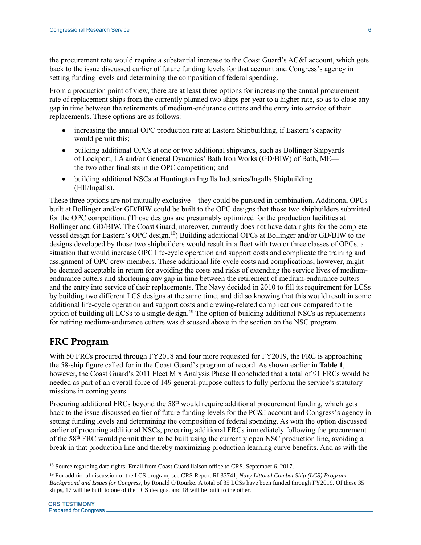the procurement rate would require a substantial increase to the Coast Guard's AC&I account, which gets back to the issue discussed earlier of future funding levels for that account and Congress's agency in setting funding levels and determining the composition of federal spending.

From a production point of view, there are at least three options for increasing the annual procurement rate of replacement ships from the currently planned two ships per year to a higher rate, so as to close any gap in time between the retirements of medium-endurance cutters and the entry into service of their replacements. These options are as follows:

- increasing the annual OPC production rate at Eastern Shipbuilding, if Eastern's capacity would permit this;
- building additional OPCs at one or two additional shipyards, such as Bollinger Shipyards of Lockport, LA and/or General Dynamics' Bath Iron Works (GD/BIW) of Bath, ME the two other finalists in the OPC competition; and
- building additional NSCs at Huntington Ingalls Industries/Ingalls Shipbuilding (HII/Ingalls).

These three options are not mutually exclusive—they could be pursued in combination. Additional OPCs built at Bollinger and/or GD/BIW could be built to the OPC designs that those two shipbuilders submitted for the OPC competition. (Those designs are presumably optimized for the production facilities at Bollinger and GD/BIW. The Coast Guard, moreover, currently does not have data rights for the complete vessel design for Eastern's OPC design. <sup>18</sup>) Building additional OPCs at Bollinger and/or GD/BIW to the designs developed by those two shipbuilders would result in a fleet with two or three classes of OPCs, a situation that would increase OPC life-cycle operation and support costs and complicate the training and assignment of OPC crew members. These additional life-cycle costs and complications, however, might be deemed acceptable in return for avoiding the costs and risks of extending the service lives of mediumendurance cutters and shortening any gap in time between the retirement of medium-endurance cutters and the entry into service of their replacements. The Navy decided in 2010 to fill its requirement for LCSs by building two different LCS designs at the same time, and did so knowing that this would result in some additional life-cycle operation and support costs and crewing-related complications compared to the option of building all LCSs to a single design.<sup>19</sup> The option of building additional NSCs as replacements for retiring medium-endurance cutters was discussed above in the section on the NSC program.

### **FRC Program**

With 50 FRCs procured through FY2018 and four more requested for FY2019, the FRC is approaching the 58-ship figure called for in the Coast Guard's program of record. As shown earlier in **[Table 1](#page-2-0)**, however, the Coast Guard's 2011 Fleet Mix Analysis Phase II concluded that a total of 91 FRCs would be needed as part of an overall force of 149 general-purpose cutters to fully perform the service's statutory missions in coming years.

Procuring additional FRCs beyond the 58<sup>th</sup> would require additional procurement funding, which gets back to the issue discussed earlier of future funding levels for the PC&I account and Congress's agency in setting funding levels and determining the composition of federal spending. As with the option discussed earlier of procuring additional NSCs, procuring additional FRCs immediately following the procurement of the 58th FRC would permit them to be built using the currently open NSC production line, avoiding a break in that production line and thereby maximizing production learning curve benefits. And as with the

<sup>&</sup>lt;sup>18</sup> Source regarding data rights: Email from Coast Guard liaison office to CRS, September 6, 2017.

<sup>19</sup> For additional discussion of the LCS program, see CRS Report RL33741, *Navy Littoral Combat Ship (LCS) Program: Background and Issues for Congress*, by Ronald O'Rourke. A total of 35 LCSs have been funded through FY2019. Of these 35 ships, 17 will be built to one of the LCS designs, and 18 will be built to the other.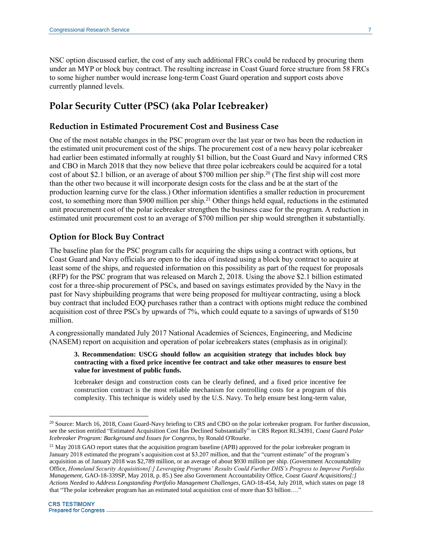NSC option discussed earlier, the cost of any such additional FRCs could be reduced by procuring them under an MYP or block buy contract. The resulting increase in Coast Guard force structure from 58 FRCs to some higher number would increase long-term Coast Guard operation and support costs above currently planned levels.

### **Polar Security Cutter (PSC) (aka Polar Icebreaker)**

#### **Reduction in Estimated Procurement Cost and Business Case**

One of the most notable changes in the PSC program over the last year or two has been the reduction in the estimated unit procurement cost of the ships. The procurement cost of a new heavy polar icebreaker had earlier been estimated informally at roughly \$1 billion, but the Coast Guard and Navy informed CRS and CBO in March 2018 that they now believe that three polar icebreakers could be acquired for a total cost of about \$2.1 billion, or an average of about \$700 million per ship.<sup>20</sup> (The first ship will cost more than the other two because it will incorporate design costs for the class and be at the start of the production learning curve for the class.) Other information identifies a smaller reduction in procurement cost, to something more than \$900 million per ship.<sup>21</sup> Other things held equal, reductions in the estimated unit procurement cost of the polar icebreaker strengthen the business case for the program. A reduction in estimated unit procurement cost to an average of \$700 million per ship would strengthen it substantially.

#### **Option for Block Buy Contract**

The baseline plan for the PSC program calls for acquiring the ships using a contract with options, but Coast Guard and Navy officials are open to the idea of instead using a block buy contract to acquire at least some of the ships, and requested information on this possibility as part of the request for proposals (RFP) for the PSC program that was released on March 2, 2018. Using the above \$2.1 billion estimated cost for a three-ship procurement of PSCs, and based on savings estimates provided by the Navy in the past for Navy shipbuilding programs that were being proposed for multiyear contracting, using a block buy contract that included EOQ purchases rather than a contract with options might reduce the combined acquisition cost of three PSCs by upwards of 7%, which could equate to a savings of upwards of \$150 million.

A congressionally mandated July 2017 National Academies of Sciences, Engineering, and Medicine (NASEM) report on acquisition and operation of polar icebreakers states (emphasis as in original):

#### **3. Recommendation: USCG should follow an acquisition strategy that includes block buy contracting with a fixed price incentive fee contract and take other measures to ensure best value for investment of public funds.**

Icebreaker design and construction costs can be clearly defined, and a fixed price incentive fee construction contract is the most reliable mechanism for controlling costs for a program of this complexity. This technique is widely used by the U.S. Navy. To help ensure best long-term value,

<sup>&</sup>lt;sup>20</sup> Source: March 16, 2018, Coast Guard-Navy briefing to CRS and CBO on the polar icebreaker program. For further discussion, see the section entitled "Estimated Acquisition Cost Has Declined Substantially" in CRS Report RL34391, *Coast Guard Polar Icebreaker Program: Background and Issues for Congress*, by Ronald O'Rourke.

 $^{21}$  May 2018 GAO report states that the acquisition program baseline (APB) approved for the polar icebreaker program in January 2018 estimated the program's acquisition cost at \$3.207 million, and that the "current estimate" of the program's acquisition as of January 2018 was \$2,789 million, or an average of about \$930 million per ship. (Government Accountability Office, *Homeland Security Acquisitions[:] Leveraging Programs' Results Could Further DHS's Progress to Improve Portfolio Management*, GAO-18-339SP, May 2018, p. 85.) See also Government Accountability Office, *Coast Guard Acquisitions[:] Actions Needed to Address Longstanding Portfolio Management Challenges*, GAO-18-454, July 2018, which states on page 18 that "The polar icebreaker program has an estimated total acquisition cost of more than \$3 billion…."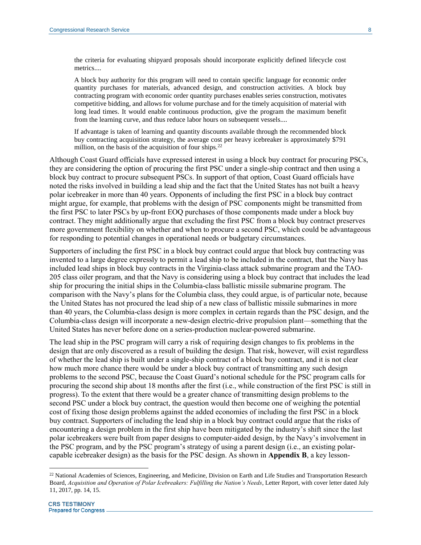the criteria for evaluating shipyard proposals should incorporate explicitly defined lifecycle cost metrics....

A block buy authority for this program will need to contain specific language for economic order quantity purchases for materials, advanced design, and construction activities. A block buy contracting program with economic order quantity purchases enables series construction, motivates competitive bidding, and allows for volume purchase and for the timely acquisition of material with long lead times. It would enable continuous production, give the program the maximum benefit from the learning curve, and thus reduce labor hours on subsequent vessels....

If advantage is taken of learning and quantity discounts available through the recommended block buy contracting acquisition strategy, the average cost per heavy icebreaker is approximately \$791 million, on the basis of the acquisition of four ships. $22$ 

Although Coast Guard officials have expressed interest in using a block buy contract for procuring PSCs, they are considering the option of procuring the first PSC under a single-ship contract and then using a block buy contract to procure subsequent PSCs. In support of that option, Coast Guard officials have noted the risks involved in building a lead ship and the fact that the United States has not built a heavy polar icebreaker in more than 40 years. Opponents of including the first PSC in a block buy contract might argue, for example, that problems with the design of PSC components might be transmitted from the first PSC to later PSCs by up-front EOQ purchases of those components made under a block buy contract. They might additionally argue that excluding the first PSC from a block buy contract preserves more government flexibility on whether and when to procure a second PSC, which could be advantageous for responding to potential changes in operational needs or budgetary circumstances.

Supporters of including the first PSC in a block buy contract could argue that block buy contracting was invented to a large degree expressly to permit a lead ship to be included in the contract, that the Navy has included lead ships in block buy contracts in the Virginia-class attack submarine program and the TAO-205 class oiler program, and that the Navy is considering using a block buy contract that includes the lead ship for procuring the initial ships in the Columbia-class ballistic missile submarine program. The comparison with the Navy's plans for the Columbia class, they could argue, is of particular note, because the United States has not procured the lead ship of a new class of ballistic missile submarines in more than 40 years, the Columbia-class design is more complex in certain regards than the PSC design, and the Columbia-class design will incorporate a new-design electric-drive propulsion plant—something that the United States has never before done on a series-production nuclear-powered submarine.

The lead ship in the PSC program will carry a risk of requiring design changes to fix problems in the design that are only discovered as a result of building the design. That risk, however, will exist regardless of whether the lead ship is built under a single-ship contract of a block buy contract, and it is not clear how much more chance there would be under a block buy contract of transmitting any such design problems to the second PSC, because the Coast Guard's notional schedule for the PSC program calls for procuring the second ship about 18 months after the first (i.e., while construction of the first PSC is still in progress). To the extent that there would be a greater chance of transmitting design problems to the second PSC under a block buy contract, the question would then become one of weighing the potential cost of fixing those design problems against the added economies of including the first PSC in a block buy contract. Supporters of including the lead ship in a block buy contract could argue that the risks of encountering a design problem in the first ship have been mitigated by the industry's shift since the last polar icebreakers were built from paper designs to computer-aided design, by the Navy's involvement in the PSC program, and by the PSC program's strategy of using a parent design (i.e., an existing polarcapable icebreaker design) as the basis for the PSC design. As shown in **[Appendix B](#page-14-0)**, a key lesson-

<sup>&</sup>lt;sup>22</sup> National Academies of Sciences, Engineering, and Medicine, Division on Earth and Life Studies and Transportation Research Board, *Acquisition and Operation of Polar Icebreakers: Fulfilling the Nation's Needs*, Letter Report, with cover letter dated July 11, 2017, pp. 14, 15.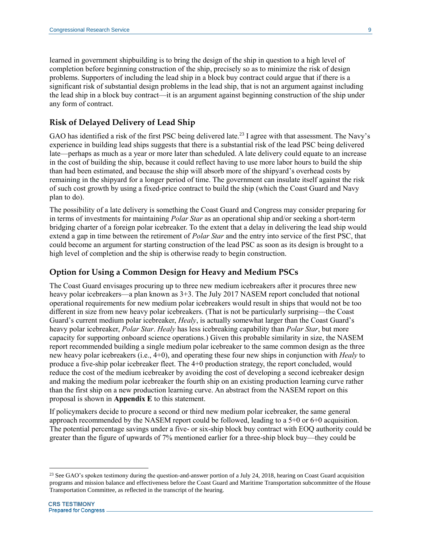learned in government shipbuilding is to bring the design of the ship in question to a high level of completion before beginning construction of the ship, precisely so as to minimize the risk of design problems. Supporters of including the lead ship in a block buy contract could argue that if there is a significant risk of substantial design problems in the lead ship, that is not an argument against including the lead ship in a block buy contract—it is an argument against beginning construction of the ship under any form of contract.

#### **Risk of Delayed Delivery of Lead Ship**

GAO has identified a risk of the first PSC being delivered late.<sup>23</sup> I agree with that assessment. The Navy's experience in building lead ships suggests that there is a substantial risk of the lead PSC being delivered late—perhaps as much as a year or more later than scheduled. A late delivery could equate to an increase in the cost of building the ship, because it could reflect having to use more labor hours to build the ship than had been estimated, and because the ship will absorb more of the shipyard's overhead costs by remaining in the shipyard for a longer period of time. The government can insulate itself against the risk of such cost growth by using a fixed-price contract to build the ship (which the Coast Guard and Navy plan to do).

The possibility of a late delivery is something the Coast Guard and Congress may consider preparing for in terms of investments for maintaining *Polar Star* as an operational ship and/or seeking a short-term bridging charter of a foreign polar icebreaker. To the extent that a delay in delivering the lead ship would extend a gap in time between the retirement of *Polar Star* and the entry into service of the first PSC, that could become an argument for starting construction of the lead PSC as soon as its design is brought to a high level of completion and the ship is otherwise ready to begin construction.

#### **Option for Using a Common Design for Heavy and Medium PSCs**

The Coast Guard envisages procuring up to three new medium icebreakers after it procures three new heavy polar icebreakers—a plan known as  $3+3$ . The July 2017 NASEM report concluded that notional operational requirements for new medium polar icebreakers would result in ships that would not be too different in size from new heavy polar icebreakers. (That is not be particularly surprising—the Coast Guard's current medium polar icebreaker, *Healy*, is actually somewhat larger than the Coast Guard's heavy polar icebreaker, *Polar Star*. *Healy* has less icebreaking capability than *Polar Star*, but more capacity for supporting onboard science operations.) Given this probable similarity in size, the NASEM report recommended building a single medium polar icebreaker to the same common design as the three new heavy polar icebreakers (i.e., 4+0), and operating these four new ships in conjunction with *Healy* to produce a five-ship polar icebreaker fleet. The 4+0 production strategy, the report concluded, would reduce the cost of the medium icebreaker by avoiding the cost of developing a second icebreaker design and making the medium polar icebreaker the fourth ship on an existing production learning curve rather than the first ship on a new production learning curve. An abstract from the NASEM report on this proposal is shown in **[Appendix E](#page-19-0)** to this statement.

If policymakers decide to procure a second or third new medium polar icebreaker, the same general approach recommended by the NASEM report could be followed, leading to a 5+0 or 6+0 acquisition. The potential percentage savings under a five- or six-ship block buy contract with EOQ authority could be greater than the figure of upwards of 7% mentioned earlier for a three-ship block buy—they could be

<sup>&</sup>lt;sup>23</sup> See GAO's spoken testimony during the question-and-answer portion of a July 24, 2018, hearing on Coast Guard acquisition programs and mission balance and effectiveness before the Coast Guard and Maritime Transportation subcommittee of the House Transportation Committee, as reflected in the transcript of the hearing.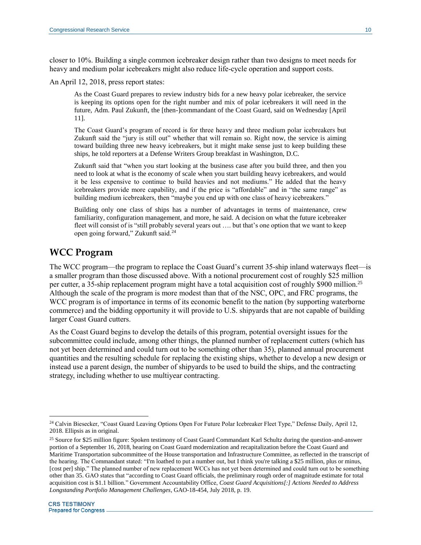closer to 10%. Building a single common icebreaker design rather than two designs to meet needs for heavy and medium polar icebreakers might also reduce life-cycle operation and support costs.

An April 12, 2018, press report states:

As the Coast Guard prepares to review industry bids for a new heavy polar icebreaker, the service is keeping its options open for the right number and mix of polar icebreakers it will need in the future, Adm. Paul Zukunft, the [then-]commandant of the Coast Guard, said on Wednesday [April 11].

The Coast Guard's program of record is for three heavy and three medium polar icebreakers but Zukunft said the "jury is still out" whether that will remain so. Right now, the service is aiming toward building three new heavy icebreakers, but it might make sense just to keep building these ships, he told reporters at a Defense Writers Group breakfast in Washington, D.C.

Zukunft said that "when you start looking at the business case after you build three, and then you need to look at what is the economy of scale when you start building heavy icebreakers, and would it be less expensive to continue to build heavies and not mediums." He added that the heavy icebreakers provide more capability, and if the price is "affordable" and in "the same range" as building medium icebreakers, then "maybe you end up with one class of heavy icebreakers."

Building only one class of ships has a number of advantages in terms of maintenance, crew familiarity, configuration management, and more, he said. A decision on what the future icebreaker fleet will consist of is "still probably several years out …. but that's one option that we want to keep open going forward," Zukunft said.<sup>24</sup>

#### **WCC Program**

The WCC program—the program to replace the Coast Guard's current 35-ship inland waterways fleet—is a smaller program than those discussed above. With a notional procurement cost of roughly \$25 million per cutter, a 35-ship replacement program might have a total acquisition cost of roughly \$900 million.<sup>25</sup> Although the scale of the program is more modest than that of the NSC, OPC, and FRC programs, the WCC program is of importance in terms of its economic benefit to the nation (by supporting waterborne commerce) and the bidding opportunity it will provide to U.S. shipyards that are not capable of building larger Coast Guard cutters.

As the Coast Guard begins to develop the details of this program, potential oversight issues for the subcommittee could include, among other things, the planned number of replacement cutters (which has not yet been determined and could turn out to be something other than 35), planned annual procurement quantities and the resulting schedule for replacing the existing ships, whether to develop a new design or instead use a parent design, the number of shipyards to be used to build the ships, and the contracting strategy, including whether to use multiyear contracting.

<sup>&</sup>lt;sup>24</sup> Calvin Biesecker, "Coast Guard Leaving Options Open For Future Polar Icebreaker Fleet Type," Defense Daily, April 12, 2018. Ellipsis as in original.

<sup>&</sup>lt;sup>25</sup> Source for \$25 million figure: Spoken testimony of Coast Guard Commandant Karl Schultz during the question-and-answer portion of a September 16, 2018, hearing on Coast Guard modernization and recapitalization before the Coast Guard and Maritime Transportation subcommittee of the House transportation and Infrastructure Committee, as reflected in the transcript of the hearing. The Commandant stated: "I'm loathed to put a number out, but I think you're talking a \$25 million, plus or minus, [cost per] ship." The planned number of new replacement WCCs has not yet been determined and could turn out to be something other than 35. GAO states that "according to Coast Guard officials, the preliminary rough order of magnitude estimate for total acquisition cost is \$1.1 billion." Government Accountability Office, *Coast Guard Acquisitions[:] Actions Needed to Address Longstanding Portfolio Management Challenges*, GAO-18-454, July 2018, p. 19.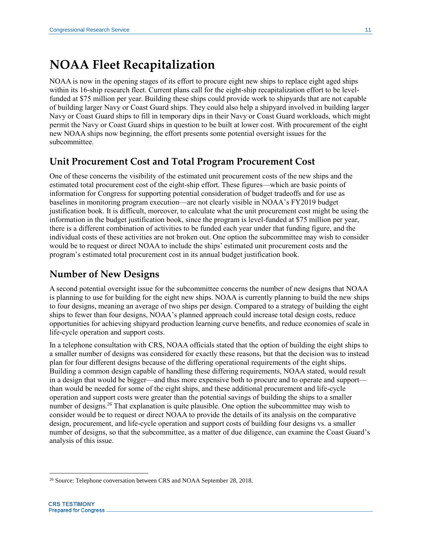### **NOAA Fleet Recapitalization**

NOAA is now in the opening stages of its effort to procure eight new ships to replace eight aged ships within its 16-ship research fleet. Current plans call for the eight-ship recapitalization effort to be levelfunded at \$75 million per year. Building these ships could provide work to shipyards that are not capable of building larger Navy or Coast Guard ships. They could also help a shipyard involved in building larger Navy or Coast Guard ships to fill in temporary dips in their Navy or Coast Guard workloads, which might permit the Navy or Coast Guard ships in question to be built at lower cost. With procurement of the eight new NOAA ships now beginning, the effort presents some potential oversight issues for the subcommittee.

### **Unit Procurement Cost and Total Program Procurement Cost**

One of these concerns the visibility of the estimated unit procurement costs of the new ships and the estimated total procurement cost of the eight-ship effort. These figures—which are basic points of information for Congress for supporting potential consideration of budget tradeoffs and for use as baselines in monitoring program execution—are not clearly visible in NOAA's FY2019 budget justification book. It is difficult, moreover, to calculate what the unit procurement cost might be using the information in the budget justification book, since the program is level-funded at \$75 million per year, there is a different combination of activities to be funded each year under that funding figure, and the individual costs of these activities are not broken out. One option the subcommittee may wish to consider would be to request or direct NOAA to include the ships' estimated unit procurement costs and the program's estimated total procurement cost in its annual budget justification book.

### **Number of New Designs**

A second potential oversight issue for the subcommittee concerns the number of new designs that NOAA is planning to use for building for the eight new ships. NOAA is currently planning to build the new ships to four designs, meaning an average of two ships per design. Compared to a strategy of building the eight ships to fewer than four designs, NOAA's planned approach could increase total design costs, reduce opportunities for achieving shipyard production learning curve benefits, and reduce economies of scale in life-cycle operation and support costs.

In a telephone consultation with CRS, NOAA officials stated that the option of building the eight ships to a smaller number of designs was considered for exactly these reasons, but that the decision was to instead plan for four different designs because of the differing operational requirements of the eight ships. Building a common design capable of handling these differing requirements, NOAA stated, would result in a design that would be bigger—and thus more expensive both to procure and to operate and support than would be needed for some of the eight ships, and these additional procurement and life-cycle operation and support costs were greater than the potential savings of building the ships to a smaller number of designs.<sup>26</sup> That explanation is quite plausible. One option the subcommittee may wish to consider would be to request or direct NOAA to provide the details of its analysis on the comparative design, procurement, and life-cycle operation and support costs of building four designs vs. a smaller number of designs, so that the subcommittee, as a matter of due diligence, can examine the Coast Guard's analysis of this issue.

 $\overline{a}$ <sup>26</sup> Source: Telephone conversation between CRS and NOAA September 28, 2018.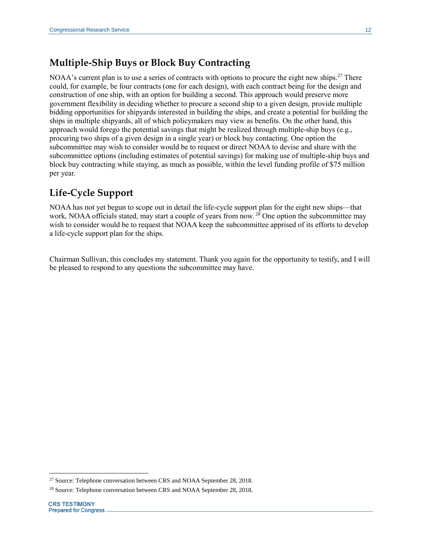### **Multiple-Ship Buys or Block Buy Contracting**

NOAA's current plan is to use a series of contracts with options to procure the eight new ships.<sup>27</sup> There could, for example, be four contracts (one for each design), with each contract being for the design and construction of one ship, with an option for building a second. This approach would preserve more government flexibility in deciding whether to procure a second ship to a given design, provide multiple bidding opportunities for shipyards interested in building the ships, and create a potential for building the ships in multiple shipyards, all of which policymakers may view as benefits. On the other hand, this approach would forego the potential savings that might be realized through multiple-ship buys (e.g., procuring two ships of a given design in a single year) or block buy contacting. One option the subcommittee may wish to consider would be to request or direct NOAA to devise and share with the subcommittee options (including estimates of potential savings) for making use of multiple-ship buys and block buy contracting while staying, as much as possible, within the level funding profile of \$75 million per year.

### **Life-Cycle Support**

NOAA has not yet begun to scope out in detail the life-cycle support plan for the eight new ships—that work, NOAA officials stated, may start a couple of years from now. <sup>28</sup> One option the subcommittee may wish to consider would be to request that NOAA keep the subcommittee apprised of its efforts to develop a life-cycle support plan for the ships.

Chairman Sullivan, this concludes my statement. Thank you again for the opportunity to testify, and I will be pleased to respond to any questions the subcommittee may have.

<sup>&</sup>lt;sup>27</sup> Source: Telephone conversation between CRS and NOAA September 28, 2018.

<sup>&</sup>lt;sup>28</sup> Source: Telephone conversation between CRS and NOAA September 28, 2018.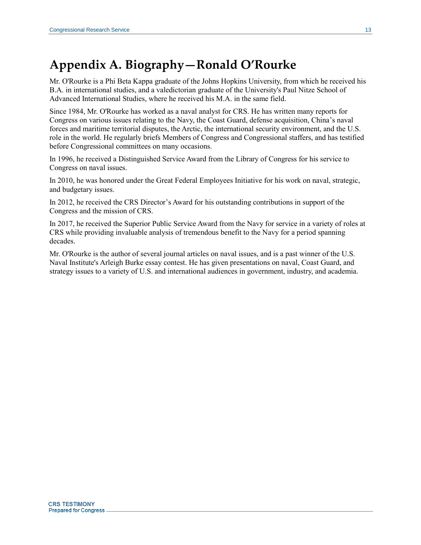## <span id="page-13-0"></span>**Appendix A. Biography—Ronald O'Rourke**

Mr. O'Rourke is a Phi Beta Kappa graduate of the Johns Hopkins University, from which he received his B.A. in international studies, and a valedictorian graduate of the University's Paul Nitze School of Advanced International Studies, where he received his M.A. in the same field.

Since 1984, Mr. O'Rourke has worked as a naval analyst for CRS. He has written many reports for Congress on various issues relating to the Navy, the Coast Guard, defense acquisition, China's naval forces and maritime territorial disputes, the Arctic, the international security environment, and the U.S. role in the world. He regularly briefs Members of Congress and Congressional staffers, and has testified before Congressional committees on many occasions.

In 1996, he received a Distinguished Service Award from the Library of Congress for his service to Congress on naval issues.

In 2010, he was honored under the Great Federal Employees Initiative for his work on naval, strategic, and budgetary issues.

In 2012, he received the CRS Director's Award for his outstanding contributions in support of the Congress and the mission of CRS.

In 2017, he received the Superior Public Service Award from the Navy for service in a variety of roles at CRS while providing invaluable analysis of tremendous benefit to the Navy for a period spanning decades.

Mr. O'Rourke is the author of several journal articles on naval issues, and is a past winner of the U.S. Naval Institute's Arleigh Burke essay contest. He has given presentations on naval, Coast Guard, and strategy issues to a variety of U.S. and international audiences in government, industry, and academia.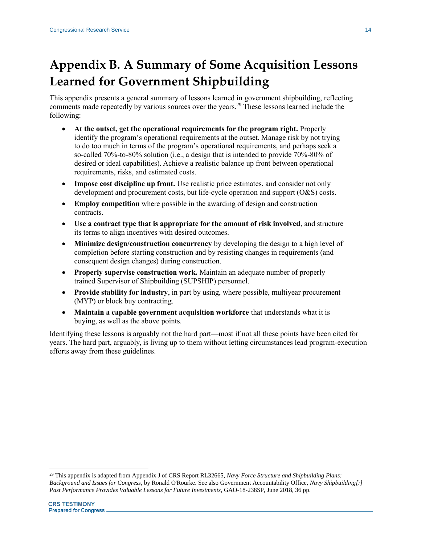# <span id="page-14-0"></span>**Appendix B. A Summary of Some Acquisition Lessons Learned for Government Shipbuilding**

This appendix presents a general summary of lessons learned in government shipbuilding, reflecting comments made repeatedly by various sources over the years.<sup>29</sup> These lessons learned include the following:

- **At the outset, get the operational requirements for the program right.** Properly identify the program's operational requirements at the outset. Manage risk by not trying to do too much in terms of the program's operational requirements, and perhaps seek a so-called 70%-to-80% solution (i.e., a design that is intended to provide 70%-80% of desired or ideal capabilities). Achieve a realistic balance up front between operational requirements, risks, and estimated costs.
- **Impose cost discipline up front.** Use realistic price estimates, and consider not only development and procurement costs, but life-cycle operation and support (O&S) costs.
- **Employ competition** where possible in the awarding of design and construction contracts.
- **Use a contract type that is appropriate for the amount of risk involved**, and structure its terms to align incentives with desired outcomes.
- **Minimize design/construction concurrency** by developing the design to a high level of completion before starting construction and by resisting changes in requirements (and consequent design changes) during construction.
- **Properly supervise construction work.** Maintain an adequate number of properly trained Supervisor of Shipbuilding (SUPSHIP) personnel.
- **Provide stability for industry**, in part by using, where possible, multiyear procurement (MYP) or block buy contracting.
- **Maintain a capable government acquisition workforce** that understands what it is buying, as well as the above points.

Identifying these lessons is arguably not the hard part—most if not all these points have been cited for years. The hard part, arguably, is living up to them without letting circumstances lead program-execution efforts away from these guidelines.

<sup>29</sup> This appendix is adapted from Appendix J of CRS Report RL32665, *Navy Force Structure and Shipbuilding Plans: Background and Issues for Congress*, by Ronald O'Rourke. See also Government Accountability Office, *Navy Shipbuilding[:] Past Performance Provides Valuable Lessons for Future Investments*, GAO-18-238SP, June 2018, 36 pp.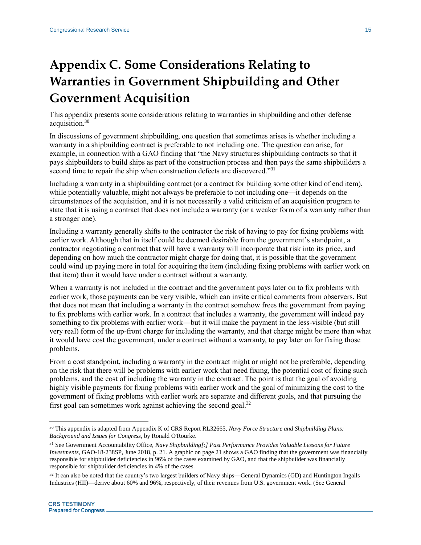# <span id="page-15-0"></span>**Appendix C. Some Considerations Relating to Warranties in Government Shipbuilding and Other Government Acquisition**

This appendix presents some considerations relating to warranties in shipbuilding and other defense acquisition.<sup>30</sup>

In discussions of government shipbuilding, one question that sometimes arises is whether including a warranty in a shipbuilding contract is preferable to not including one. The question can arise, for example, in connection with a GAO finding that "the Navy structures shipbuilding contracts so that it pays shipbuilders to build ships as part of the construction process and then pays the same shipbuilders a second time to repair the ship when construction defects are discovered."31

Including a warranty in a shipbuilding contract (or a contract for building some other kind of end item), while potentially valuable, might not always be preferable to not including one—it depends on the circumstances of the acquisition, and it is not necessarily a valid criticism of an acquisition program to state that it is using a contract that does not include a warranty (or a weaker form of a warranty rather than a stronger one).

Including a warranty generally shifts to the contractor the risk of having to pay for fixing problems with earlier work. Although that in itself could be deemed desirable from the government's standpoint, a contractor negotiating a contract that will have a warranty will incorporate that risk into its price, and depending on how much the contractor might charge for doing that, it is possible that the government could wind up paying more in total for acquiring the item (including fixing problems with earlier work on that item) than it would have under a contract without a warranty.

When a warranty is not included in the contract and the government pays later on to fix problems with earlier work, those payments can be very visible, which can invite critical comments from observers. But that does not mean that including a warranty in the contract somehow frees the government from paying to fix problems with earlier work. In a contract that includes a warranty, the government will indeed pay something to fix problems with earlier work—but it will make the payment in the less-visible (but still very real) form of the up-front charge for including the warranty, and that charge might be more than what it would have cost the government, under a contract without a warranty, to pay later on for fixing those problems.

From a cost standpoint, including a warranty in the contract might or might not be preferable, depending on the risk that there will be problems with earlier work that need fixing, the potential cost of fixing such problems, and the cost of including the warranty in the contract. The point is that the goal of avoiding highly visible payments for fixing problems with earlier work and the goal of minimizing the cost to the government of fixing problems with earlier work are separate and different goals, and that pursuing the first goal can sometimes work against achieving the second goal. $32$ 

<sup>30</sup> This appendix is adapted from Appendix K of CRS Report RL32665, *Navy Force Structure and Shipbuilding Plans: Background and Issues for Congress*, by Ronald O'Rourke.

<sup>31</sup> See Government Accountability Office, *Navy Shipbuilding[:] Past Performance Provides Valuable Lessons for Future Investments*, GAO-18-238SP, June 2018, p. 21. A graphic on page 21 shows a GAO finding that the government was financially responsible for shipbuilder deficiencies in 96% of the cases examined by GAO, and that the shipbuilder was financially responsible for shipbuilder deficiencies in 4% of the cases.

 $32$  It can also be noted that the country's two largest builders of Navy ships—General Dynamics (GD) and Huntington Ingalls Industries (HII)—derive about 60% and 96%, respectively, of their revenues from U.S. government work. (See General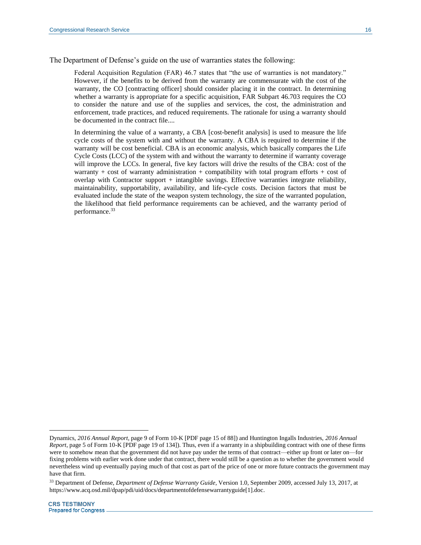The Department of Defense's guide on the use of warranties states the following:

Federal Acquisition Regulation (FAR) 46.7 states that "the use of warranties is not mandatory." However, if the benefits to be derived from the warranty are commensurate with the cost of the warranty, the CO [contracting officer] should consider placing it in the contract. In determining whether a warranty is appropriate for a specific acquisition, FAR Subpart 46.703 requires the CO to consider the nature and use of the supplies and services, the cost, the administration and enforcement, trade practices, and reduced requirements. The rationale for using a warranty should be documented in the contract file....

In determining the value of a warranty, a CBA [cost-benefit analysis] is used to measure the life cycle costs of the system with and without the warranty. A CBA is required to determine if the warranty will be cost beneficial. CBA is an economic analysis, which basically compares the Life Cycle Costs (LCC) of the system with and without the warranty to determine if warranty coverage will improve the LCCs. In general, five key factors will drive the results of the CBA: cost of the warranty + cost of warranty administration + compatibility with total program efforts + cost of overlap with Contractor support  $+$  intangible savings. Effective warranties integrate reliability, maintainability, supportability, availability, and life-cycle costs. Decision factors that must be evaluated include the state of the weapon system technology, the size of the warranted population, the likelihood that field performance requirements can be achieved, and the warranty period of performance.<sup>33</sup>

Dynamics, *2016 Annual Report*, page 9 of Form 10-K [PDF page 15 of 88]) and Huntington Ingalls Industries, *2016 Annual Report*, page 5 of Form 10-K [PDF page 19 of 134]). Thus, even if a warranty in a shipbuilding contract with one of these firms were to somehow mean that the government did not have pay under the terms of that contract—either up front or later on—for fixing problems with earlier work done under that contract, there would still be a question as to whether the government would nevertheless wind up eventually paying much of that cost as part of the price of one or more future contracts the government may have that firm.

<sup>33</sup> Department of Defense, *Department of Defense Warranty Guide*, Version 1.0, September 2009, accessed July 13, 2017, at https://www.acq.osd.mil/dpap/pdi/uid/docs/departmentofdefensewarrantyguide[1].doc.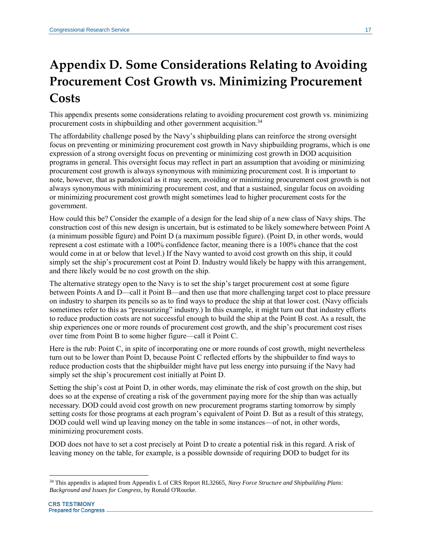# <span id="page-17-0"></span>**Appendix D. Some Considerations Relating to Avoiding Procurement Cost Growth vs. Minimizing Procurement Costs**

This appendix presents some considerations relating to avoiding procurement cost growth vs. minimizing procurement costs in shipbuilding and other government acquisition.<sup>34</sup>

The affordability challenge posed by the Navy's shipbuilding plans can reinforce the strong oversight focus on preventing or minimizing procurement cost growth in Navy shipbuilding programs, which is one expression of a strong oversight focus on preventing or minimizing cost growth in DOD acquisition programs in general. This oversight focus may reflect in part an assumption that avoiding or minimizing procurement cost growth is always synonymous with minimizing procurement cost. It is important to note, however, that as paradoxical as it may seem, avoiding or minimizing procurement cost growth is not always synonymous with minimizing procurement cost, and that a sustained, singular focus on avoiding or minimizing procurement cost growth might sometimes lead to higher procurement costs for the government.

How could this be? Consider the example of a design for the lead ship of a new class of Navy ships. The construction cost of this new design is uncertain, but is estimated to be likely somewhere between Point A (a minimum possible figure) and Point D (a maximum possible figure). (Point D, in other words, would represent a cost estimate with a 100% confidence factor, meaning there is a 100% chance that the cost would come in at or below that level.) If the Navy wanted to avoid cost growth on this ship, it could simply set the ship's procurement cost at Point D. Industry would likely be happy with this arrangement, and there likely would be no cost growth on the ship.

The alternative strategy open to the Navy is to set the ship's target procurement cost at some figure between Points A and D—call it Point B—and then use that more challenging target cost to place pressure on industry to sharpen its pencils so as to find ways to produce the ship at that lower cost. (Navy officials sometimes refer to this as "pressurizing" industry.) In this example, it might turn out that industry efforts to reduce production costs are not successful enough to build the ship at the Point B cost. As a result, the ship experiences one or more rounds of procurement cost growth, and the ship's procurement cost rises over time from Point B to some higher figure—call it Point C.

Here is the rub: Point C, in spite of incorporating one or more rounds of cost growth, might nevertheless turn out to be lower than Point D, because Point C reflected efforts by the shipbuilder to find ways to reduce production costs that the shipbuilder might have put less energy into pursuing if the Navy had simply set the ship's procurement cost initially at Point D.

Setting the ship's cost at Point D, in other words, may eliminate the risk of cost growth on the ship, but does so at the expense of creating a risk of the government paying more for the ship than was actually necessary. DOD could avoid cost growth on new procurement programs starting tomorrow by simply setting costs for those programs at each program's equivalent of Point D. But as a result of this strategy, DOD could well wind up leaving money on the table in some instances—of not, in other words, minimizing procurement costs.

DOD does not have to set a cost precisely at Point D to create a potential risk in this regard. A risk of leaving money on the table, for example, is a possible downside of requiring DOD to budget for its

 $\overline{a}$ <sup>34</sup> This appendix is adapted from Appendix L of CRS Report RL32665, *Navy Force Structure and Shipbuilding Plans: Background and Issues for Congress*, by Ronald O'Rourke.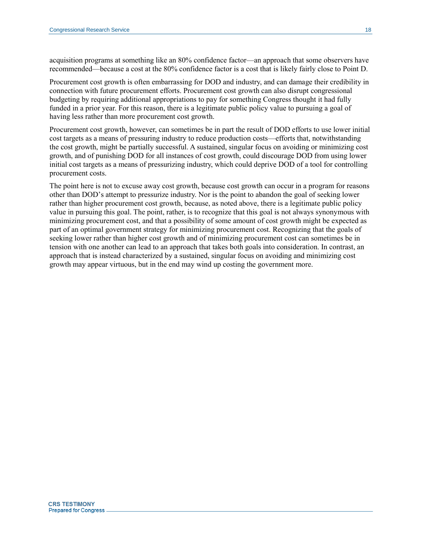acquisition programs at something like an 80% confidence factor—an approach that some observers have recommended—because a cost at the 80% confidence factor is a cost that is likely fairly close to Point D.

Procurement cost growth is often embarrassing for DOD and industry, and can damage their credibility in connection with future procurement efforts. Procurement cost growth can also disrupt congressional budgeting by requiring additional appropriations to pay for something Congress thought it had fully funded in a prior year. For this reason, there is a legitimate public policy value to pursuing a goal of having less rather than more procurement cost growth.

Procurement cost growth, however, can sometimes be in part the result of DOD efforts to use lower initial cost targets as a means of pressuring industry to reduce production costs—efforts that, notwithstanding the cost growth, might be partially successful. A sustained, singular focus on avoiding or minimizing cost growth, and of punishing DOD for all instances of cost growth, could discourage DOD from using lower initial cost targets as a means of pressurizing industry, which could deprive DOD of a tool for controlling procurement costs.

The point here is not to excuse away cost growth, because cost growth can occur in a program for reasons other than DOD's attempt to pressurize industry. Nor is the point to abandon the goal of seeking lower rather than higher procurement cost growth, because, as noted above, there is a legitimate public policy value in pursuing this goal. The point, rather, is to recognize that this goal is not always synonymous with minimizing procurement cost, and that a possibility of some amount of cost growth might be expected as part of an optimal government strategy for minimizing procurement cost. Recognizing that the goals of seeking lower rather than higher cost growth and of minimizing procurement cost can sometimes be in tension with one another can lead to an approach that takes both goals into consideration. In contrast, an approach that is instead characterized by a sustained, singular focus on avoiding and minimizing cost growth may appear virtuous, but in the end may wind up costing the government more.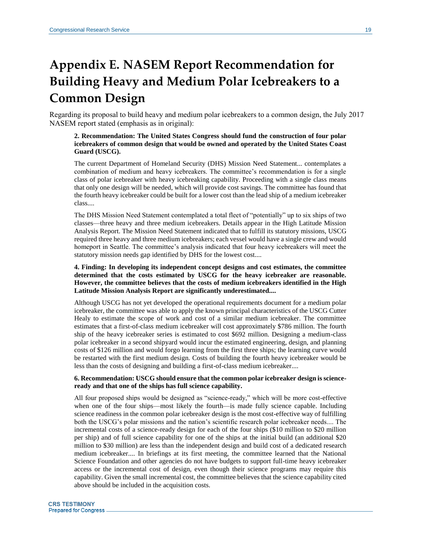# <span id="page-19-0"></span>**Appendix E. NASEM Report Recommendation for Building Heavy and Medium Polar Icebreakers to a Common Design**

Regarding its proposal to build heavy and medium polar icebreakers to a common design, the July 2017 NASEM report stated (emphasis as in original):

#### **2. Recommendation: The United States Congress should fund the construction of four polar icebreakers of common design that would be owned and operated by the United States Coast Guard (USCG).**

The current Department of Homeland Security (DHS) Mission Need Statement... contemplates a combination of medium and heavy icebreakers. The committee's recommendation is for a single class of polar icebreaker with heavy icebreaking capability. Proceeding with a single class means that only one design will be needed, which will provide cost savings. The committee has found that the fourth heavy icebreaker could be built for a lower cost than the lead ship of a medium icebreaker class....

The DHS Mission Need Statement contemplated a total fleet of "potentially" up to six ships of two classes—three heavy and three medium icebreakers. Details appear in the High Latitude Mission Analysis Report. The Mission Need Statement indicated that to fulfill its statutory missions, USCG required three heavy and three medium icebreakers; each vessel would have a single crew and would homeport in Seattle. The committee's analysis indicated that four heavy icebreakers will meet the statutory mission needs gap identified by DHS for the lowest cost....

#### **4. Finding: In developing its independent concept designs and cost estimates, the committee determined that the costs estimated by USCG for the heavy icebreaker are reasonable. However, the committee believes that the costs of medium icebreakers identified in the High Latitude Mission Analysis Report are significantly underestimated....**

Although USCG has not yet developed the operational requirements document for a medium polar icebreaker, the committee was able to apply the known principal characteristics of the USCG Cutter Healy to estimate the scope of work and cost of a similar medium icebreaker. The committee estimates that a first-of-class medium icebreaker will cost approximately \$786 million. The fourth ship of the heavy icebreaker series is estimated to cost \$692 million. Designing a medium-class polar icebreaker in a second shipyard would incur the estimated engineering, design, and planning costs of \$126 million and would forgo learning from the first three ships; the learning curve would be restarted with the first medium design. Costs of building the fourth heavy icebreaker would be less than the costs of designing and building a first-of-class medium icebreaker....

#### **6. Recommendation: USCG should ensure that the common polar icebreaker design is scienceready and that one of the ships has full science capability.**

All four proposed ships would be designed as "science-ready," which will be more cost-effective when one of the four ships—most likely the fourth—is made fully science capable. Including science readiness in the common polar icebreaker design is the most cost-effective way of fulfilling both the USCG's polar missions and the nation's scientific research polar icebreaker needs.... The incremental costs of a science-ready design for each of the four ships (\$10 million to \$20 million per ship) and of full science capability for one of the ships at the initial build (an additional \$20 million to \$30 million) are less than the independent design and build cost of a dedicated research medium icebreaker.... In briefings at its first meeting, the committee learned that the National Science Foundation and other agencies do not have budgets to support full-time heavy icebreaker access or the incremental cost of design, even though their science programs may require this capability. Given the small incremental cost, the committee believes that the science capability cited above should be included in the acquisition costs.